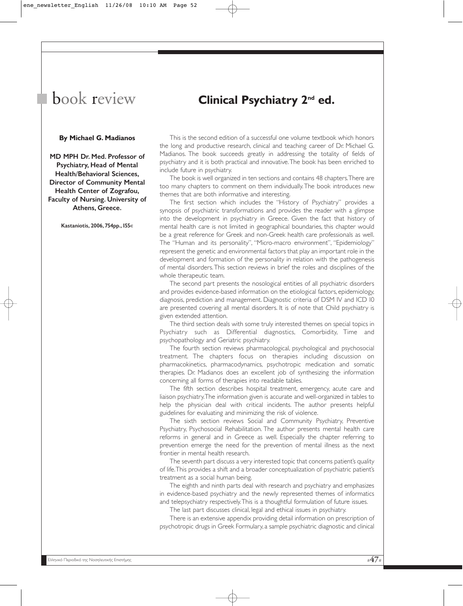## book review

## **Clinical Psychiatry 2nd ed.**

## **By Michael G. Madianos**

MD MPH Dr. Med. Professor of Psychiatry, Head of Mental Health/Behavioral Sciences, Director of Community Mental Health Center of Zografou, Faculty of Nursing. University of Athens, Greece.

Kastaniotis, 2006, 754pp., 155<sup>ε</sup>

This is the second edition of a successful one volume textbook which honors the long and productive research, clinical and teaching career of Dr. Michael G. Madianos. The book succeeds greatly in addressing the totality of fields of psychiatry and it is both practical and innovative.The book has been enriched to include future in psychiatry.

The book is well organized in ten sections and contains 48 chapters.There are too many chapters to comment on them individually.The book introduces new themes that are both informative and interesting.

The first section which includes the "History of Psychiatry" provides a synopsis of psychiatric transformations and provides the reader with a glimpse into the development in psychiatry in Greece. Given the fact that history of mental health care is not limited in geographical boundaries, this chapter would be a great reference for Greek and non-Greek health care professionals as well. The "Human and its personality", "Micro-macro environment", "Epidemiology" represent the genetic and environmental factors that play an important role in the development and formation of the personality in relation with the pathogenesis of mental disorders.This section reviews in brief the roles and disciplines of the whole therapeutic team.

The second part presents the nosological entities of all psychiatric disorders and provides evidence-based information on the etiological factors, epidemiology, diagnosis, prediction and management. Diagnostic criteria of DSM IV and ICD 10 are presented covering all mental disorders. It is of note that Child psychiatry is given extended attention.

The third section deals with some truly interested themes on special topics in Psychiatry such as Differential diagnostics, Comorbidity, Time and psychopathology and Geriatric psychiatry.

The fourth section reviews pharmacological, psychological and psychosocial treatment. The chapters focus on therapies including discussion on pharmacokinetics, pharmacodynamics, psychotropic medication and somatic therapies. Dr. Madianos does an excellent job of synthesizing the information concerning all forms of therapies into readable tables.

The fifth section describes hospital treatment, emergency, acute care and liaison psychiatry.The information given is accurate and well-organized in tables to help the physician deal with critical incidents. The author presents helpful guidelines for evaluating and minimizing the risk of violence.

The sixth section reviews Social and Community Psychiatry, Preventive Psychiatry, Psychosocial Rehabilitation. The author presents mental health care reforms in general and in Greece as well. Especially the chapter referring to prevention emerge the need for the prevention of mental illness as the next frontier in mental health research.

The seventh part discuss a very interested topic that concerns patient's quality of life.This provides a shift and a broader conceptualization of psychiatric patient's treatment as a social human being.

The eighth and ninth parts deal with research and psychiatry and emphasizes in evidence-based psychiatry and the newly represented themes of informatics and telepsychiatry respectively.This is a thoughtful formulation of future issues.

The last part discusses clinical, legal and ethical issues in psychiatry.

There is an extensive appendix providing detail information on prescription of psychotropic drugs in Greek Formulary, a sample psychiatric diagnostic and clinical